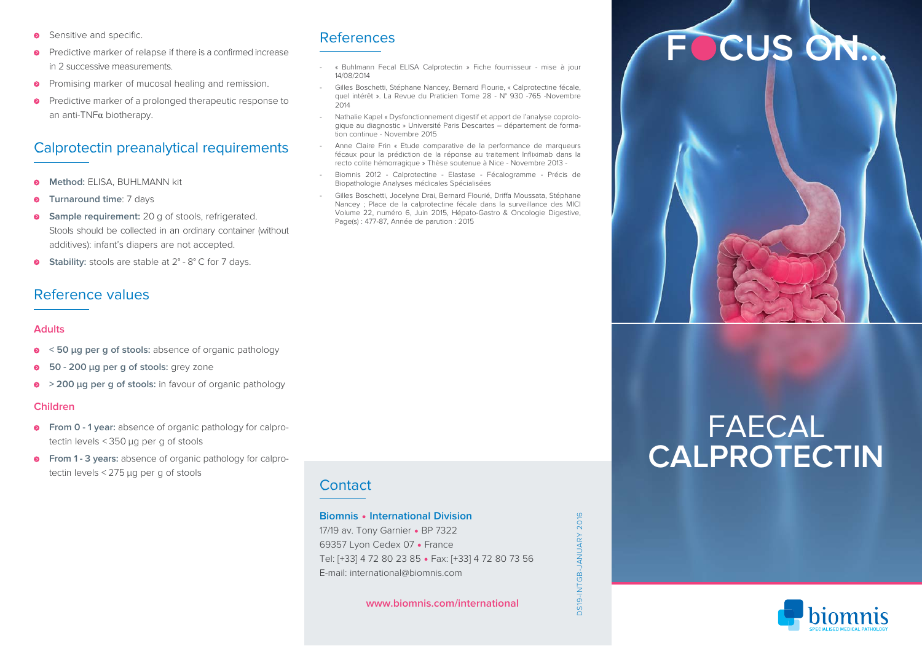- Sensitive and specific. **>**
- Predictive marker of relapse if there is a confirmed increase in 2 successive measurements. **>**
- Promising marker of mucosal healing and remission. **>**
- Predictive marker of a prolonged therapeutic response to an anti-TNF<sup>α</sup> biotherapy. **>**

# Calprotectin preanalytical requirements

- **Method:** ELISA, BUHLMANN kit
- **Turnaround time**: 7 days
- **Sample requirement:** 20 g of stools, refrigerated. Stools should be collected in an ordinary container (without additives): infant's diapers are not accepted. **>**
- **Stability:** stools are stable at  $2^{\circ}$   $8^{\circ}$  C for 7 days. **>**

### Reference values

### **Adults**

- **< 50 µg per g of stools:** absence of organic pathology **>**
- **50 - 200 µg per g of stools:** grey zone **>**
- **> 200 µg per g of stools:** in favour of organic pathology **>**

### **Children**

- **From 0 - 1 year:** absence of organic pathology for calpro-**>** tectin levels < 350 µg per g of stools
- **From 1 - 3 years:** absence of organic pathology for calpro-**>** tectin levels < 275 µg per g of stools

### **Contact**

References

14/08/2014

tion continue - Novembre 2015

Biopathologie Analyses médicales Spécialisées

Page(s) : 477-87, Année de parution : 2015

2014

« Buhlmann Fecal ELISA Calprotectin » Fiche fournisseur - mise à jour

 Gilles Boschetti, Stéphane Nancey, Bernard Flourie, « Calprotectine fécale, quel intérêt ». La Revue du Praticien Tome 28 - N° 930 -765 -Novembre

 Nathalie Kapel « Dysfonctionnement digestif et apport de l'analyse coprologique au diagnostic » Université Paris Descartes – département de forma-

 Anne Claire Frin « Etude comparative de la performance de marqueurs fécaux pour la prédiction de la réponse au traitement Infliximab dans la recto colite hémorragique » Thèse soutenue à Nice - Novembre 2013 - Biomnis 2012 - Calprotectine - Elastase - Fécalogramme - Précis de

 Gilles Boschetti, Jocelyne Drai, Bernard Flourié, Driffa Moussata, Stéphane Nancey ; Place de la calprotectine fécale dans la surveillance des MICI Volume 22, numéro 6, Juin 2015, Hépato-Gastro & Oncologie Digestive,

### **Biomnis • International Division**

17/19 av. Tony Garnier • BP 7322 69357 Lyon Cedex 07 • France Tel: [+33] 4 72 80 23 85 • Fax: [+33] 4 72 80 73 56 E-mail: international@biomnis.com

**www.biomnis.com/international**

DS19-INTGB-JANUARY 2016

NTGB-JANUARY

**DS19-**

 $201$ 

# **F CUS ON...**



# FAECAL **CALPROTECTIN**